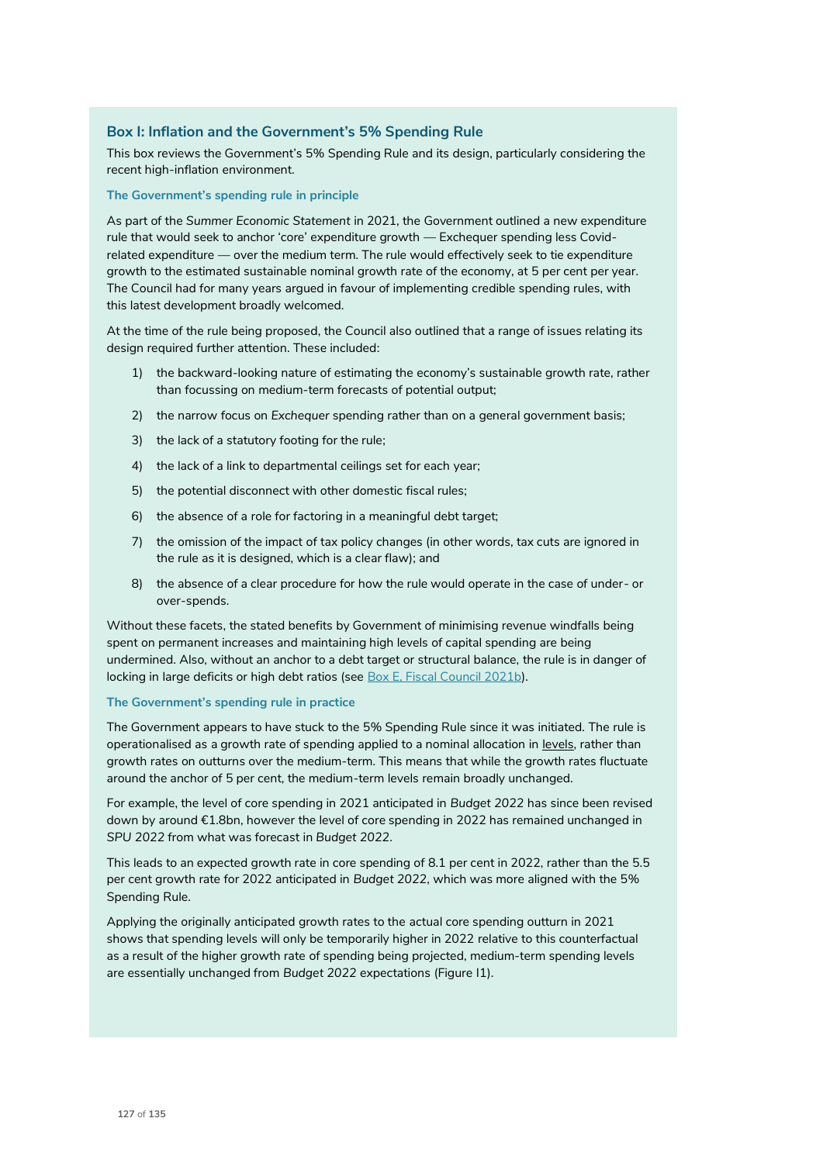# **Box I: Inflation and the Government's 5% Spending Rule**

This box reviews the Government's 5% Spending Rule and its design, particularly considering the recent high-inflation environment.

### **The Government's spending rule in principle**

As part of the *Summer Economic Statement* in 2021, the Government outlined a new expenditure rule that would seek to anchor 'core' expenditure growth — Exchequer spending less Covidrelated expenditure — over the medium term. The rule would effectively seek to tie expenditure growth to the estimated sustainable nominal growth rate of the economy, at 5 per cent per year. The Council had for many years argued in favour of implementing credible spending rules, with this latest development broadly welcomed.

At the time of the rule being proposed, the Council also outlined that a range of issues relating its design required further attention. These included:

- 1) the backward-looking nature of estimating the economy's sustainable growth rate, rather than focussing on medium-term forecasts of potential output;
- 2) the narrow focus on *Exchequer* spending rather than on a general government basis;
- 3) the lack of a statutory footing for the rule;
- 4) the lack of a link to departmental ceilings set for each year;
- 5) the potential disconnect with other domestic fiscal rules;
- 6) the absence of a role for factoring in a meaningful debt target;
- 7) the omission of the impact of tax policy changes (in other words, tax cuts are ignored in the rule as it is designed, which is a clear flaw); and
- 8) the absence of a clear procedure for how the rule would operate in the case of under- or over-spends.

Without these facets, the stated benefits by Government of minimising revenue windfalls being spent on permanent increases and maintaining high levels of capital spending are being undermined. Also, without an anchor to a debt target or structural balance, the rule is in danger of locking in large deficits or high debt ratios (see Box E, Fiscal Council 2021b).

### **The Government's spending rule in practice**

The Government appears to have stuck to the 5% Spending Rule since it was initiated. The rule is operationalised as a growth rate of spending applied to a nominal allocation in levels, rather than growth rates on outturns over the medium-term. This means that while the growth rates fluctuate around the anchor of 5 per cent, the medium-term levels remain broadly unchanged.

For example, the level of core spending in 2021 anticipated in *Budget 2022* has since been revised down by around €1.8bn, however the level of core spending in 2022 has remained unchanged in *SPU 2022* from what was forecast in *Budget 2022*.

This leads to an expected growth rate in core spending of 8.1 per cent in 2022, rather than the 5.5 per cent growth rate for 2022 anticipated in *Budget 2022*, which was more aligned with the 5% Spending Rule.

Applying the originally anticipated growth rates to the actual core spending outturn in 2021 shows that spending levels will only be temporarily higher in 2022 relative to this counterfactual as a result of the higher growth rate of spending being projected, medium-term spending levels are essentially unchanged from *Budget 2022* expectations (Figure I1).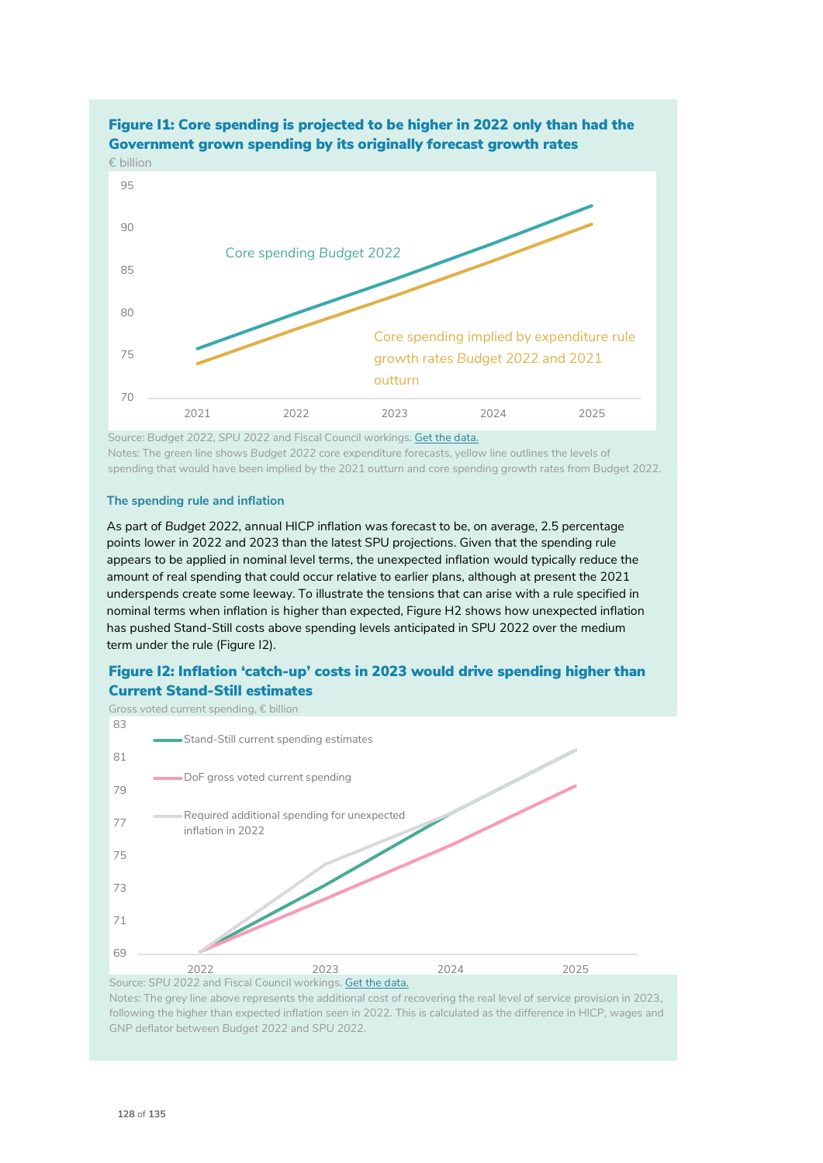

# Figure I1: Core spending is projected to be higher in 2022 only than had the

 Source: *Budget 2022, SPU 2022* and Fiscal Council workings. Get the data. Notes: The green line shows *Budget 2022* core expenditure forecasts, yellow line outlines the levels of spending that would have been implied by the 2021 outturn and core spending growth rates from Budget 2022.

## **The spending rule and inflation**

As part of *Budget 2022*, annual HICP inflation was forecast to be, on average, 2.5 percentage points lower in 2022 and 2023 than the latest SPU projections. Given that the spending rule appears to be applied in nominal level terms, the unexpected inflation would typically reduce the amount of real spending that could occur relative to earlier plans, although at present the 2021 underspends create some leeway. To illustrate the tensions that can arise with a rule specified in nominal terms when inflation is higher than expected, Figure H2 shows how unexpected inflation has pushed Stand-Still costs above spending levels anticipated in SPU 2022 over the medium term under the rule (Figure I2).

# Figure I2: Inflation 'catch-up' costs in 2023 would drive spending higher than Current Stand-Still estimates



Notes: The grey line above represents the additional cost of recovering the real level of service provision in 2023, following the higher than expected inflation seen in 2022. This is calculated as the difference in HICP, wages and GNP deflator between *Budget 2022* and *SPU 2022.*